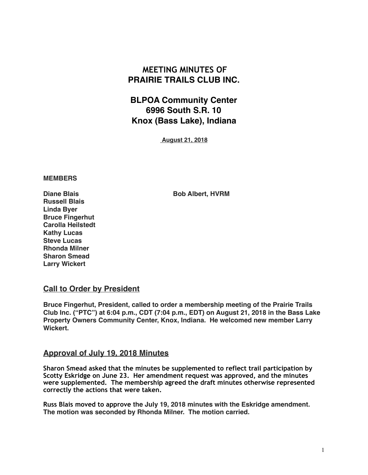# **MEETING MINUTES OF PRAIRIE TRAILS CLUB INC.**

# **BLPOA Community Center 6996 South S.R. 10 Knox (Bass Lake), Indiana**

 **August 21, 2018**

#### **MEMBERS**

**Diane Blais Bob Albert, HVRM** 

**Russell Blais Linda Byer Bruce Fingerhut Carolla Heilstedt Kathy Lucas Steve Lucas Rhonda Milner Sharon Smead Larry Wickert**

### **Call to Order by President**

**Bruce Fingerhut, President, called to order a membership meeting of the Prairie Trails Club Inc. ("PTC") at 6:04 p.m., CDT (7:04 p.m., EDT) on August 21, 2018 in the Bass Lake Property Owners Community Center, Knox, Indiana. He welcomed new member Larry Wickert.**

### **Approval of July 19, 2018 Minutes**

**Sharon Smead asked that the minutes be supplemented to reflect trail participation by Scotty Eskridge on June 23. Her amendment request was approved, and the minutes were supplemented. The membership agreed the draft minutes otherwise represented correctly the actions that were taken.** 

**Russ Blais moved to approve the July 19, 2018 minutes with the Eskridge amendment. The motion was seconded by Rhonda Milner. The motion carried.**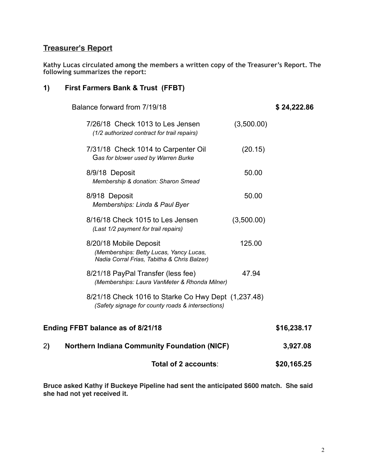## **Treasurer's Report**

**Kathy Lucas circulated among the members a written copy of the Treasurer's Report. The following summarizes the report:**

### **1) First Farmers Bank & Trust (FFBT)**

| Balance forward from 7/19/18                                                    |                                                                                                          |            | \$24,222.86 |
|---------------------------------------------------------------------------------|----------------------------------------------------------------------------------------------------------|------------|-------------|
| 7/26/18 Check 1013 to Les Jensen<br>(1/2 authorized contract for trail repairs) |                                                                                                          | (3,500.00) |             |
| 7/31/18 Check 1014 to Carpenter Oil<br>Gas for blower used by Warren Burke      |                                                                                                          | (20.15)    |             |
| 8/9/18 Deposit<br>Membership & donation: Sharon Smead                           |                                                                                                          | 50.00      |             |
| 8/918 Deposit<br>Memberships: Linda & Paul Byer                                 |                                                                                                          | 50.00      |             |
| 8/16/18 Check 1015 to Les Jensen<br>(Last 1/2 payment for trail repairs)        |                                                                                                          | (3,500.00) |             |
| 8/20/18 Mobile Deposit                                                          | (Memberships: Betty Lucas, Yancy Lucas,<br>Nadia Corral Frias, Tabitha & Chris Balzer)                   | 125.00     |             |
| 8/21/18 PayPal Transfer (less fee)                                              | (Memberships: Laura VanMeter & Rhonda Milner)                                                            | 47.94      |             |
|                                                                                 | 8/21/18 Check 1016 to Starke Co Hwy Dept (1,237.48)<br>(Safety signage for county roads & intersections) |            |             |
| Ending FFBT balance as of 8/21/18                                               |                                                                                                          |            | \$16,238.17 |
| <b>Northern Indiana Community Foundation (NICF)</b><br>2)                       |                                                                                                          |            | 3,927.08    |

**Total of 2 accounts**: **\$20,165.25**

**Bruce asked Kathy if Buckeye Pipeline had sent the anticipated \$600 match. She said she had not yet received it.**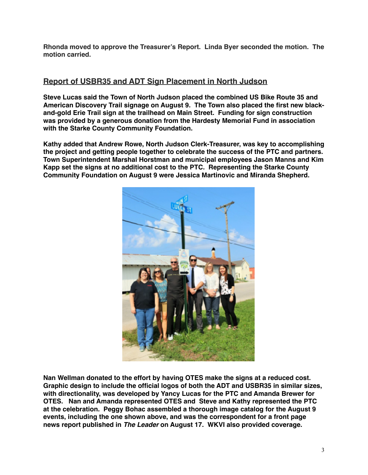**Rhonda moved to approve the Treasurer's Report. Linda Byer seconded the motion. The motion carried.**

## **Report of USBR35 and ADT Sign Placement in North Judson**

**Steve Lucas said the Town of North Judson placed the combined US Bike Route 35 and American Discovery Trail signage on August 9. The Town also placed the first new blackand-gold Erie Trail sign at the trailhead on Main Street. Funding for sign construction was provided by a generous donation from the Hardesty Memorial Fund in association with the Starke County Community Foundation.** 

**Kathy added that Andrew Rowe, North Judson Clerk-Treasurer, was key to accomplishing the project and getting people together to celebrate the success of the PTC and partners. Town Superintendent Marshal Horstman and municipal employees Jason Manns and Kim Kapp set the signs at no additional cost to the PTC. Representing the Starke County Community Foundation on August 9 were Jessica Martinovic and Miranda Shepherd.** 



**Nan Wellman donated to the effort by having OTES make the signs at a reduced cost. Graphic design to include the official logos of both the ADT and USBR35 in similar sizes, with directionality, was developed by Yancy Lucas for the PTC and Amanda Brewer for OTES. Nan and Amanda represented OTES and Steve and Kathy represented the PTC at the celebration. Peggy Bohac assembled a thorough image catalog for the August 9 events, including the one shown above, and was the correspondent for a front page news report published in** *The Leader* **on August 17. WKVI also provided coverage.**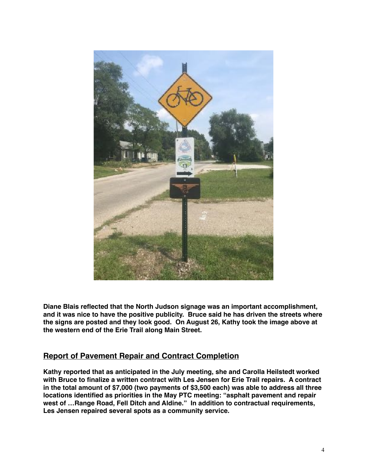

**Diane Blais reflected that the North Judson signage was an important accomplishment, and it was nice to have the positive publicity. Bruce said he has driven the streets where the signs are posted and they look good. On August 26, Kathy took the image above at the western end of the Erie Trail along Main Street.**

### **Report of Pavement Repair and Contract Completion**

**Kathy reported that as anticipated in the July meeting, she and Carolla Heilstedt worked with Bruce to finalize a written contract with Les Jensen for Erie Trail repairs. A contract in the total amount of \$7,000 (two payments of \$3,500 each) was able to address all three locations identified as priorities in the May PTC meeting: "asphalt pavement and repair west of …Range Road, Fell Ditch and Aldine." In addition to contractual requirements, Les Jensen repaired several spots as a community service.**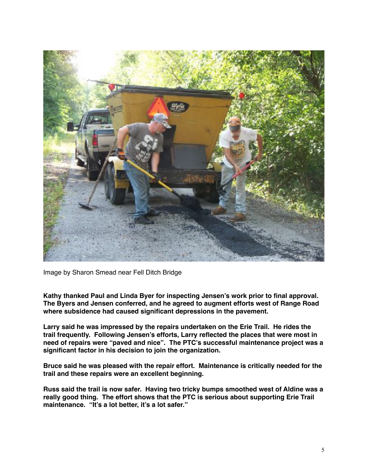

Image by Sharon Smead near Fell Ditch Bridge

**Kathy thanked Paul and Linda Byer for inspecting Jensen's work prior to final approval. The Byers and Jensen conferred, and he agreed to augment efforts west of Range Road where subsidence had caused significant depressions in the pavement.** 

**Larry said he was impressed by the repairs undertaken on the Erie Trail. He rides the trail frequently. Following Jensen's efforts, Larry reflected the places that were most in need of repairs were "paved and nice". The PTC's successful maintenance project was a significant factor in his decision to join the organization.**

**Bruce said he was pleased with the repair effort. Maintenance is critically needed for the trail and these repairs were an excellent beginning.**

**Russ said the trail is now safer. Having two tricky bumps smoothed west of Aldine was a really good thing. The effort shows that the PTC is serious about supporting Erie Trail maintenance. "It's a lot better, it's a lot safer."**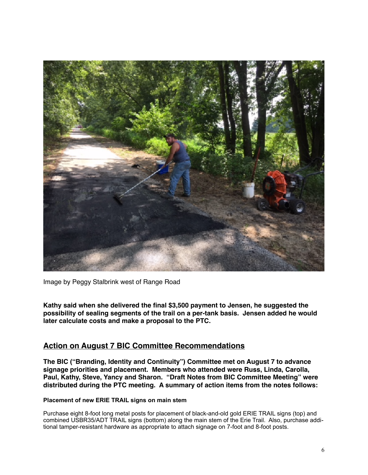

Image by Peggy Stalbrink west of Range Road

**Kathy said when she delivered the final \$3,500 payment to Jensen, he suggested the possibility of sealing segments of the trail on a per-tank basis. Jensen added he would later calculate costs and make a proposal to the PTC.**

### **Action on August 7 BIC Committee Recommendations**

**The BIC ("Branding, Identity and Continuity") Committee met on August 7 to advance signage priorities and placement. Members who attended were Russ, Linda, Carolla, Paul, Kathy, Steve, Yancy and Sharon. "Draft Notes from BIC Committee Meeting" were distributed during the PTC meeting. A summary of action items from the notes follows:**

### **Placement of new ERIE TRAIL signs on main stem**

Purchase eight 8-foot long metal posts for placement of black-and-old gold ERIE TRAIL signs (top) and combined USBR35/ADT TRAIL signs (bottom) along the main stem of the Erie Trail. Also, purchase additional tamper-resistant hardware as appropriate to attach signage on 7-foot and 8-foot posts.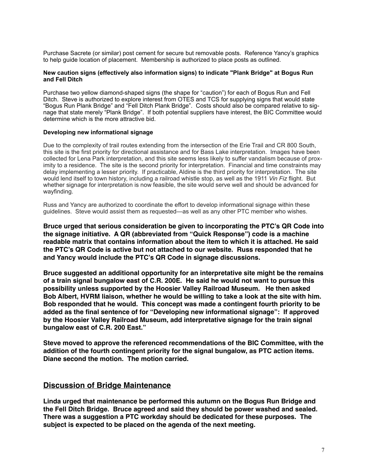Purchase Sacrete (or similar) post cement for secure but removable posts. Reference Yancy's graphics to help guide location of placement. Membership is authorized to place posts as outlined.

#### **New caution signs (effectively also information signs) to indicate "Plank Bridge" at Bogus Run and Fell Ditch**

Purchase two yellow diamond-shaped signs (the shape for "caution") for each of Bogus Run and Fell Ditch. Steve is authorized to explore interest from OTES and TCS for supplying signs that would state "Bogus Run Plank Bridge" and "Fell Ditch Plank Bridge". Costs should also be compared relative to signage that state merely "Plank Bridge". If both potential suppliers have interest, the BIC Committee would determine which is the more attractive bid.

#### **Developing new informational signage**

Due to the complexity of trail routes extending from the intersection of the Erie Trail and CR 800 South, this site is the first priority for directional assistance and for Bass Lake interpretation. Images have been collected for Lena Park interpretation, and this site seems less likely to suffer vandalism because of proximity to a residence. The site is the second priority for interpretation. Financial and time constraints may delay implementing a lesser priority. If practicable, Aldine is the third priority for interpretation. The site would lend itself to town history, including a railroad whistle stop, as well as the 1911 *Vin Fiz* flight. But whether signage for interpretation is now feasible, the site would serve well and should be advanced for wayfinding.

Russ and Yancy are authorized to coordinate the effort to develop informational signage within these guidelines. Steve would assist them as requested—as well as any other PTC member who wishes.

**Bruce urged that serious consideration be given to incorporating the PTC's QR Code into the signage initiative. A QR (abbreviated from "Quick Response") code is a machine readable matrix that contains information about the item to which it is attached. He said the PTC's QR Code is active but not attached to our website. Russ responded that he and Yancy would include the PTC's QR Code in signage discussions.**

**Bruce suggested an additional opportunity for an interpretative site might be the remains of a train signal bungalow east of C.R. 200E. He said he would not want to pursue this possibility unless supported by the Hoosier Valley Railroad Museum. He then asked Bob Albert, HVRM liaison, whether he would be willing to take a look at the site with him. Bob responded that he would. This concept was made a contingent fourth priority to be added as the final sentence of for "Developing new informational signage": If approved by the Hoosier Valley Railroad Museum, add interpretative signage for the train signal bungalow east of C.R. 200 East."**

**Steve moved to approve the referenced recommendations of the BIC Committee, with the addition of the fourth contingent priority for the signal bungalow, as PTC action items. Diane second the motion. The motion carried.** 

### **Discussion of Bridge Maintenance**

**Linda urged that maintenance be performed this autumn on the Bogus Run Bridge and the Fell Ditch Bridge. Bruce agreed and said they should be power washed and sealed. There was a suggestion a PTC workday should be dedicated for these purposes. The subject is expected to be placed on the agenda of the next meeting.**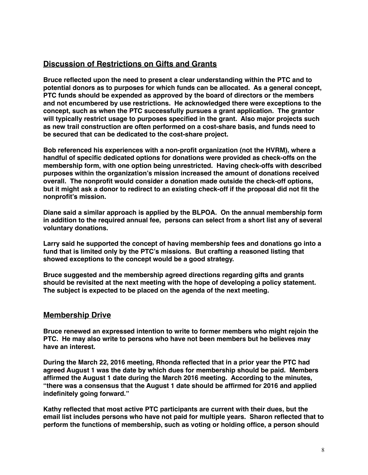# **Discussion of Restrictions on Gifts and Grants**

**Bruce reflected upon the need to present a clear understanding within the PTC and to potential donors as to purposes for which funds can be allocated. As a general concept, PTC funds should be expended as approved by the board of directors or the members and not encumbered by use restrictions. He acknowledged there were exceptions to the concept, such as when the PTC successfully pursues a grant application. The grantor will typically restrict usage to purposes specified in the grant. Also major projects such as new trail construction are often performed on a cost-share basis, and funds need to be secured that can be dedicated to the cost-share project.**

**Bob referenced his experiences with a non-profit organization (not the HVRM), where a handful of specific dedicated options for donations were provided as check-offs on the membership form, with one option being unrestricted. Having check-offs with described purposes within the organization's mission increased the amount of donations received overall. The nonprofit would consider a donation made outside the check-off options, but it might ask a donor to redirect to an existing check-off if the proposal did not fit the nonprofit's mission.**

**Diane said a similar approach is applied by the BLPOA. On the annual membership form in addition to the required annual fee, persons can select from a short list any of several voluntary donations.**

**Larry said he supported the concept of having membership fees and donations go into a fund that is limited only by the PTC's missions. But crafting a reasoned listing that showed exceptions to the concept would be a good strategy.**

**Bruce suggested and the membership agreed directions regarding gifts and grants should be revisited at the next meeting with the hope of developing a policy statement. The subject is expected to be placed on the agenda of the next meeting.**

### **Membership Drive**

**Bruce renewed an expressed intention to write to former members who might rejoin the PTC. He may also write to persons who have not been members but he believes may have an interest.**

**During the March 22, 2016 meeting, Rhonda reflected that in a prior year the PTC had agreed August 1 was the date by which dues for membership should be paid. Members affirmed the August 1 date during the March 2016 meeting. According to the minutes, "there was a consensus that the August 1 date should be affirmed for 2016 and applied indefinitely going forward."**

**Kathy reflected that most active PTC participants are current with their dues, but the email list includes persons who have not paid for multiple years. Sharon reflected that to perform the functions of membership, such as voting or holding office, a person should**